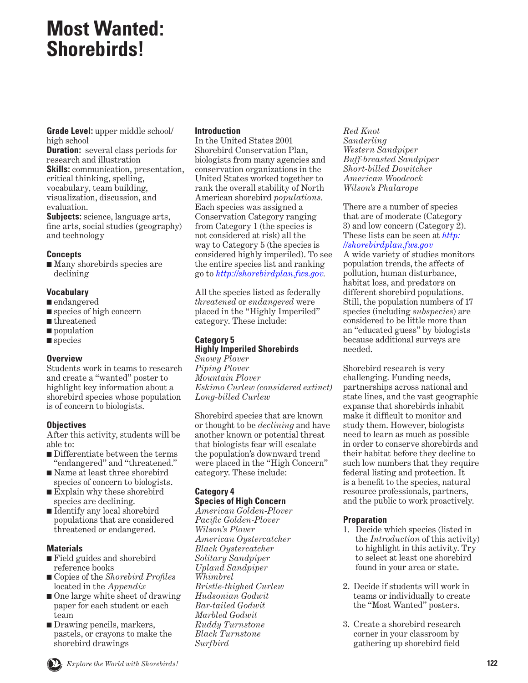## <span id="page-0-0"></span>**Most Wanted: Shorebirds!**

**Grade Level:** upper middle school/ high school

**Duration:** several class periods for research and illustration **Skills:** communication, presentation, critical thinking, spelling, vocabulary, team building, visualization, discussion, and evaluation.

**Subjects:** science, language arts, fine arts, social studies (geography) and technology

#### **Concepts**

■ Many shorebirds species are declining

#### **Vocabulary**

- endangered
- species of high concern
- threatened
- population
- species

#### **Overview**

Students work in teams to research and create a "wanted" poster to highlight key information about a shorebird species whose population is of concern to biologists.

#### **Objectives**

After this activity, students will be able to:

- Differentiate between the terms "endangered" and "threatened."
- Name at least three shorebird
- species of concern to biologists. ■ Explain why these shorebird species are declining.
- Identify any local shorebird populations that are considered threatened or endangered.

#### **Materials**

- Field guides and shorebird reference books
- Copies of the *Shorebird Profiles* located in the *Appendix*
- One large white sheet of drawing paper for each student or each team
- Drawing pencils, markers, pastels, or crayons to make the shorebird drawings

#### **Introduction**

In the United States 2001 Shorebird Conservation Plan, biologists from many agencies and conservation organizations in the United States worked together to rank the overall stability of North American shorebird *populations*. Each species was assigned a Conservation Category ranging from Category 1 (the species is not considered at risk) all the way to Category 5 (the species is considered highly imperiled). To see the entire species list and ranking go to *<http://shorebirdplan.fws.gov>.*

All the species listed as federally *threatened* or *endangered* were placed in the "Highly Imperiled" category. These include:

## **Category 5**

## **Highly Imperiled Shorebirds**

*Snowy Plover Piping Plover Mountain Plover Eskimo Curlew (considered extinct) Long-billed Curlew*

Shorebird species that are known or thought to be *declining* and have another known or potential threat that biologists fear will escalate the population's downward trend were placed in the "High Concern" category. These include:

#### **Category 4 Species of High Concern**

*American Golden-Plover Pacific Golden-Plover Wilson's Plover American Oystercatcher Black Oystercatcher Solitary Sandpiper Upland Sandpiper Whimbrel Bristle-thighed Curlew Hudsonian Godwit Bar-tailed Godwit Marbled Godwit Ruddy Turnstone Black Turnstone Surfbird*

*Red Knot Sanderling Western Sandpiper Buff-breasted Sandpiper Short-billed Dowitcher American Woodcock Wilson's Phalarope*

There are a number of species that are of moderate (Category 3) and low concern (Category 2). [These lists can be seen at](http://shorebirdplan.fws.gov) *http: //shorebirdplan.fws.gov*

A wide variety of studies monitors population trends, the affects of pollution, human disturbance, habitat loss, and predators on different shorebird populations. Still, the population numbers of 17 species (including *subspecies*) are considered to be little more than an "educated guess" by biologists because additional surveys are needed.

Shorebird research is very challenging. Funding needs, partnerships across national and state lines, and the vast geographic expanse that shorebirds inhabit make it difficult to monitor and study them. However, biologists need to learn as much as possible in order to conserve shorebirds and their habitat before they decline to such low numbers that they require federal listing and protection. It is a benefit to the species, natural resource professionals, partners, and the public to work proactively.

#### **Preparation**

- 1. Decide which species (listed in the *Introduction* of this activity) to highlight in this activity. Try to select at least one shorebird found in your area or state.
- 2. Decide if students will work in teams or individually to create the "Most Wanted" posters.
- 3. Create a shorebird research corner in your classroom by gathering up shorebird field

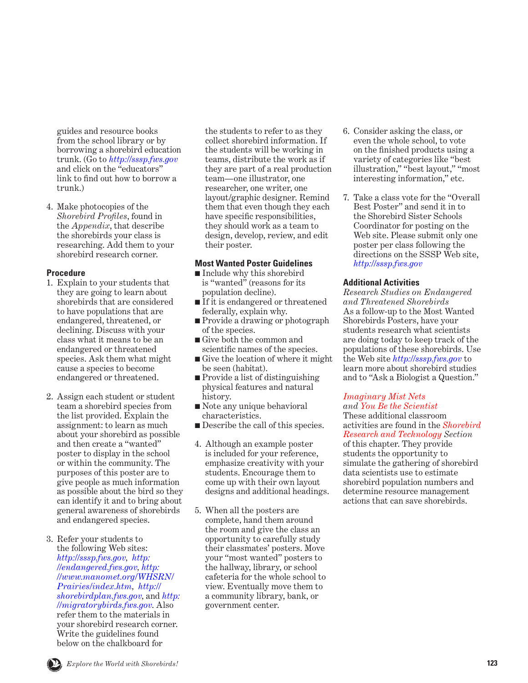guides and resource books from the school library or by borrowing a shorebird education trunk. (Go to *[http://sssp.fws.gov]( http://sssp.fws.gov )* and click on the "educators" link to find out how to borrow a trunk.)

4. Make photocopies of the *Shorebird Profiles*, found in the *Appendix*, that describe the shorebirds your class is researching. Add them to your shorebird research corner.

#### **Procedure**

- 1. Explain to your students that they are going to learn about shorebirds that are considered to have populations that are endangered, threatened, or declining. Discuss with your class what it means to be an endangered or threatened species. Ask them what might cause a species to become endangered or threatened.
- 2. Assign each student or student team a shorebird species from the list provided. Explain the assignment: to learn as much about your shorebird as possible and then create a "wanted" poster to display in the school or within the community. The purposes of this poster are to give people as much information as possible about the bird so they can identify it and to bring about general awareness of shorebirds and endangered species.
- 3. Refer your students to the following Web sites: *[http://sssp.fws.gov,](http://sssp.fws.gov) [http:]( http://endangered.fws.gov ) [//endangered.fws.gov]( http://endangered.fws.gov ), [http:](http://www.manomet.org/WHSRN/Prairies/index.htm) [//www.manomet.org/WHSRN/](http://www.manomet.org/WHSRN/Prairies/index.htm) [Prairies/index.htm,](http://www.manomet.org/WHSRN/Prairies/index.htm) [http://](http://shorebirdplan.fws.gov) [shorebirdplan.fws.gov](http://shorebirdplan.fws.gov),* and *[http:](http://migratorybirds.fws.gov) [//migratorybirds.fws.gov](http://migratorybirds.fws.gov)*. Also refer them to the materials in your shorebird research corner. Write the guidelines found below on the chalkboard for

the students to refer to as they collect shorebird information. If the students will be working in teams, distribute the work as if they are part of a real production team—one illustrator, one researcher, one writer, one layout/graphic designer. Remind them that even though they each have specific responsibilities, they should work as a team to design, develop, review, and edit their poster.

#### **Most Wanted Poster Guidelines**

- Include why this shorebird is "wanted" (reasons for its population decline).
- If it is endangered or threatened federally, explain why.
- Provide a drawing or photograph of the species.
- Give both the common and scientific names of the species.
- Give the location of where it might be seen (habitat).
- Provide a list of distinguishing physical features and natural history.
- Note any unique behavioral characteristics.
- Describe the call of this species.
- 4. Although an example poster is included for your reference, emphasize creativity with your students. Encourage them to come up with their own layout designs and additional headings.
- 5. When all the posters are complete, hand them around the room and give the class an opportunity to carefully study their classmates' posters. Move your "most wanted" posters to the hallway, library, or school cafeteria for the whole school to view. Eventually move them to a community library, bank, or government center.
- 6. Consider asking the class, or even the whole school, to vote on the finished products using a variety of categories like "best illustration," "best layout," "most interesting information," etc.
- 7. Take a class vote for the "Overall Best Poster" and send it in to the Shorebird Sister Schools Coordinator for posting on the Web site. Please submit only one poster per class following the directions on the SSSP Web site, *<http://sssp.fws.gov>*

#### **Additional Activities**

*Research Studies on Endangered and Threatened Shorebirds* As a follow-up to the Most Wanted Shorebirds Posters, have your students research what scientists are doing today to keep track of the populations of these shorebirds. Use the Web site *<http://sssp.fws.gov>* to learn more about shorebird studies and to "Ask a Biologist a Question."

## *[Imaginary Mist Nets](#page-16-0)*

*and [You Be the Scientist](#page-11-0)* These additional classroom activities are found in the *Shorebird [Research and Technology](#page-0-0) Section*

of this chapter. They provide students the opportunity to simulate the gathering of shorebird data scientists use to estimate shorebird population numbers and determine resource management actions that can save shorebirds.